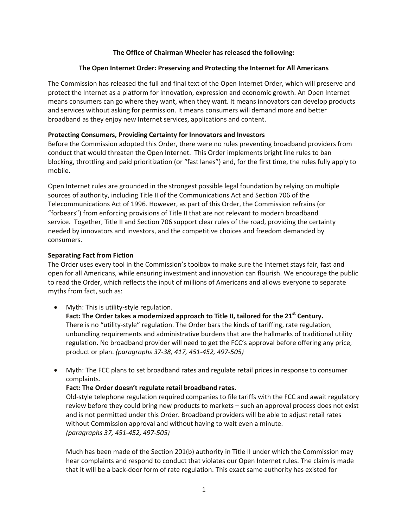#### **The Office of Chairman Wheeler has released the following:**

# **The Open Internet Order: Preserving and Protecting the Internet for All Americans**

The Commission has released the full and final text of the Open Internet Order, which will preserve and protect the Internet as a platform for innovation, expression and economic growth. An Open Internet means consumers can go where they want, when they want. It means innovators can develop products and services without asking for permission. It means consumers will demand more and better broadband as they enjoy new Internet services, applications and content.

#### **Protecting Consumers, Providing Certainty for Innovators and Investors**

Before the Commission adopted this Order, there were no rules preventing broadband providers from conduct that would threaten the Open Internet. This Order implements bright line rules to ban blocking, throttling and paid prioritization (or "fast lanes") and, for the first time, the rules fully apply to mobile.

Open Internet rules are grounded in the strongest possible legal foundation by relying on multiple sources of authority, including Title II of the Communications Act and Section 706 of the Telecommunications Act of 1996. However, as part of this Order, the Commission refrains (or "forbears") from enforcing provisions of Title II that are not relevant to modern broadband service. Together, Title II and Section 706 support clear rules of the road, providing the certainty needed by innovators and investors, and the competitive choices and freedom demanded by consumers.

# **Separating Fact from Fiction**

The Order uses every tool in the Commission's toolbox to make sure the Internet stays fair, fast and open for all Americans, while ensuring investment and innovation can flourish. We encourage the public to read the Order, which reflects the input of millions of Americans and allows everyone to separate myths from fact, such as:

Myth: This is utility-style regulation.

**Fact: The Order takes a modernized approach to Title II, tailored for the 21st Century.** There is no "utility-style" regulation. The Order bars the kinds of tariffing, rate regulation, unbundling requirements and administrative burdens that are the hallmarks of traditional utility regulation. No broadband provider will need to get the FCC's approval before offering any price, product or plan. *(paragraphs 37-38, 417, 451-452, 497-505)*

 Myth: The FCC plans to set broadband rates and regulate retail prices in response to consumer complaints.

# **Fact: The Order doesn't regulate retail broadband rates.**

Old-style telephone regulation required companies to file tariffs with the FCC and await regulatory review before they could bring new products to markets – such an approval process does not exist and is not permitted under this Order. Broadband providers will be able to adjust retail rates without Commission approval and without having to wait even a minute. *(paragraphs 37, 451-452, 497-505)*

Much has been made of the Section 201(b) authority in Title II under which the Commission may hear complaints and respond to conduct that violates our Open Internet rules. The claim is made that it will be a back-door form of rate regulation. This exact same authority has existed for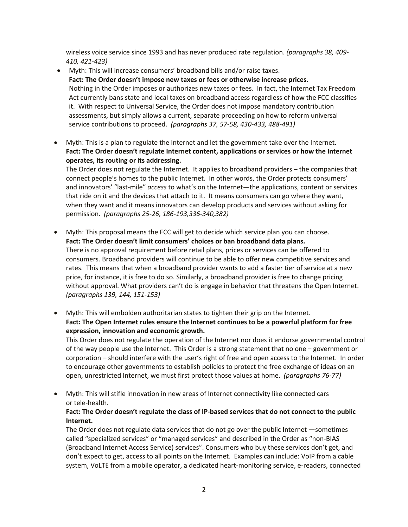wireless voice service since 1993 and has never produced rate regulation. *(paragraphs 38, 409- 410, 421-423)*

- Myth: This will increase consumers' broadband bills and/or raise taxes. **Fact: The Order doesn't impose new taxes or fees or otherwise increase prices.** Nothing in the Order imposes or authorizes new taxes or fees. In fact, the Internet Tax Freedom Act currently bans state and local taxes on broadband access regardless of how the FCC classifies it. With respect to Universal Service, the Order does not impose mandatory contribution assessments, but simply allows a current, separate proceeding on how to reform universal service contributions to proceed. *(paragraphs 37, 57-58, 430-433, 488-491)*
- Myth: This is a plan to regulate the Internet and let the government take over the Internet. **Fact: The Order doesn't regulate Internet content, applications or services or how the Internet operates, its routing or its addressing.**

The Order does not regulate the Internet. It applies to broadband providers – the companies that connect people's homes to the public Internet. In other words, the Order protects consumers' and innovators' "last-mile" *access* to what's on the Internet—the applications, content or services that ride on it and the devices that attach to it. It means consumers can go where they want, when they want and it means innovators can develop products and services without asking for permission. *(paragraphs 25-26, 186-193,336-340,382)*

- Myth: This proposal means the FCC will get to decide which service plan you can choose. **Fact: The Order doesn't limit consumers' choices or ban broadband data plans.** There is no approval requirement before retail plans, prices or services can be offered to consumers. Broadband providers will continue to be able to offer new competitive services and rates. This means that when a broadband provider wants to add a faster tier of service at a new price, for instance, it is free to do so. Similarly, a broadband provider is free to change pricing without approval. What providers can't do is engage in behavior that threatens the Open Internet. *(paragraphs 139, 144, 151-153)*
- Myth: This will embolden authoritarian states to tighten their grip on the Internet. **Fact: The Open Internet rules ensure the Internet continues to be a powerful platform for free expression, innovation and economic growth.**

This Order does not regulate the operation of the Internet nor does it endorse governmental control of the way people use the Internet. This Order is a strong statement that no one – government or corporation – should interfere with the user's right of free and open access to the Internet. In order to encourage other governments to establish policies to protect the free exchange of ideas on an open, unrestricted Internet, we must first protect those values at home. *(paragraphs 76-77)*

 Myth: This will stifle innovation in new areas of Internet connectivity like connected cars or tele-health.

# **Fact: The Order doesn't regulate the class of IP-based services that do not connect to the public Internet.**

The Order does not regulate data services that do not go over the public Internet —sometimes called "specialized services" or "managed services" and described in the Order as "non-BIAS (Broadband Internet Access Service) services". Consumers who buy these services don't get, and don't expect to get, access to all points on the Internet. Examples can include: VoIP from a cable system, VoLTE from a mobile operator, a dedicated heart-monitoring service, e-readers, connected